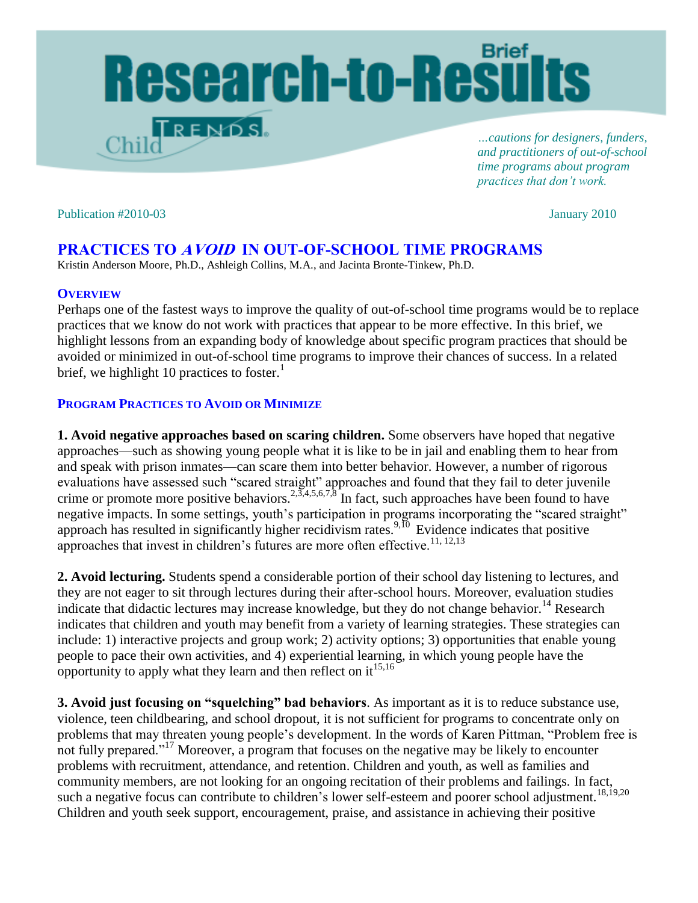# Research-to-Results  $T$ rends.

*…cautions for designers, funders, and practitioners of out-of-school time programs about program practices that don't work.* 

#### Publication #2010-03January 2010

## **PRACTICES TO AVOID IN OUT-OF-SCHOOL TIME PROGRAMS**

Kristin Anderson Moore, Ph.D., Ashleigh Collins, M.A., and Jacinta Bronte-Tinkew, Ph.D.

#### **OVERVIEW**

Perhaps one of the fastest ways to improve the quality of out-of-school time programs would be to replace practices that we know do not work with practices that appear to be more effective. In this brief, we highlight lessons from an expanding body of knowledge about specific program practices that should be avoided or minimized in out-of-school time programs to improve their chances of success. In a related brief, we highlight 10 practices to foster.<sup>1</sup>

### **PROGRAM PRACTICES TO AVOID OR MINIMIZE**

**1. Avoid negative approaches based on scaring children.** Some observers have hoped that negative approaches—such as showing young people what it is like to be in jail and enabling them to hear from and speak with prison inmates—can scare them into better behavior. However, a number of rigorous evaluations have assessed such "scared straight" approaches and found that they fail to deter juvenile crime or promote more positive behaviors.<sup>2,3,4,5,6,7,8</sup> In fact, such approaches have been found to have negative impacts. In some settings, youth's participation in programs incorporating the "scared straight" approach has resulted in significantly higher recidivism rates.<sup>9,10</sup> Evidence indicates that positive approaches that invest in children's futures are more often effective.<sup>11, 12,13</sup>

**2. Avoid lecturing.** Students spend a considerable portion of their school day listening to lectures, and they are not eager to sit through lectures during their after-school hours. Moreover, evaluation studies indicate that didactic lectures may increase knowledge, but they do not change behavior.<sup>14</sup> Research indicates that children and youth may benefit from a variety of learning strategies. These strategies can include: 1) interactive projects and group work; 2) activity options; 3) opportunities that enable young people to pace their own activities, and 4) experiential learning, in which young people have the opportunity to apply what they learn and then reflect on  $it^{15,16}$ 

**3. Avoid just focusing on "squelching" bad behaviors**. As important as it is to reduce substance use, violence, teen childbearing, and school dropout, it is not sufficient for programs to concentrate only on problems that may threaten young people's development. In the words of Karen Pittman, "Problem free is not fully prepared."<sup>17</sup> Moreover, a program that focuses on the negative may be likely to encounter problems with recruitment, attendance, and retention. Children and youth, as well as families and community members, are not looking for an ongoing recitation of their problems and failings. In fact, such a negative focus can contribute to children's lower self-esteem and poorer school adjustment.<sup>18,19,20</sup> Children and youth seek support, encouragement, praise, and assistance in achieving their positive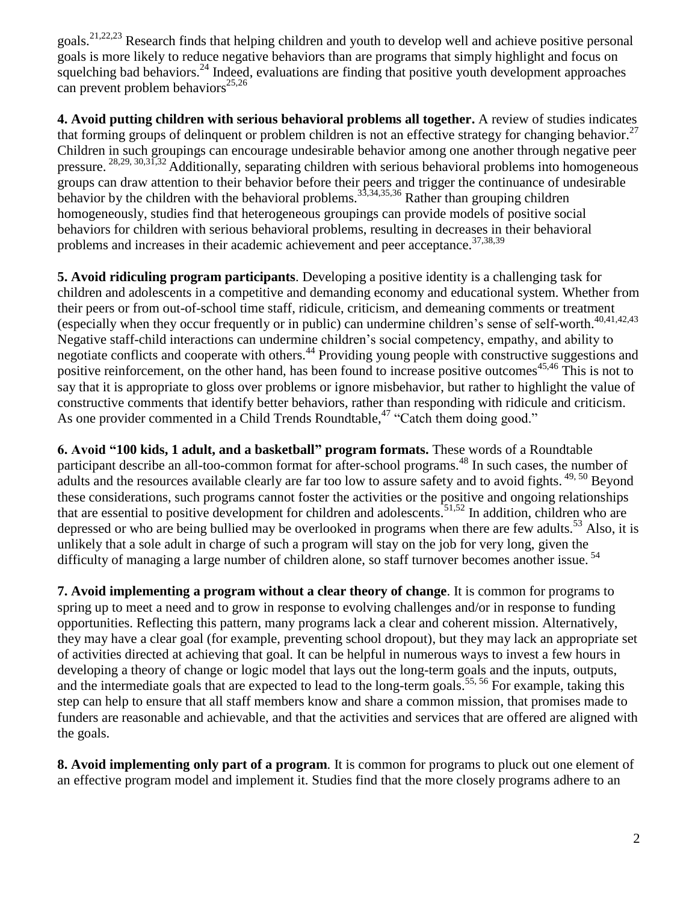goals.21,22,23 Research finds that helping children and youth to develop well and achieve positive personal goals is more likely to reduce negative behaviors than are programs that simply highlight and focus on squelching bad behaviors.<sup>24</sup> Indeed, evaluations are finding that positive youth development approaches can prevent problem behaviors<sup>25,26</sup>

**4. Avoid putting children with serious behavioral problems all together.** A review of studies indicates that forming groups of delinquent or problem children is not an effective strategy for changing behavior.<sup>27</sup> Children in such groupings can encourage undesirable behavior among one another through negative peer pressure. <sup>28,29, 30,31,32</sup> Additionally, separating children with serious behavioral problems into homogeneous groups can draw attention to their behavior before their peers and trigger the continuance of undesirable behavior by the children with the behavioral problems.<sup>33,34,35,36</sup> Rather than grouping children homogeneously, studies find that heterogeneous groupings can provide models of positive social behaviors for children with serious behavioral problems, resulting in decreases in their behavioral problems and increases in their academic achievement and peer acceptance.<sup>37,38,39</sup>

**5. Avoid ridiculing program participants**. Developing a positive identity is a challenging task for children and adolescents in a competitive and demanding economy and educational system. Whether from their peers or from out-of-school time staff, ridicule, criticism, and demeaning comments or treatment (especially when they occur frequently or in public) can undermine children's sense of self-worth. 40,41,42,43 Negative staff-child interactions can undermine children's social competency, empathy, and ability to negotiate conflicts and cooperate with others.<sup>44</sup> Providing young people with constructive suggestions and positive reinforcement, on the other hand, has been found to increase positive outcomes<sup>45,46</sup> This is not to say that it is appropriate to gloss over problems or ignore misbehavior, but rather to highlight the value of constructive comments that identify better behaviors, rather than responding with ridicule and criticism. As one provider commented in a Child Trends Roundtable,  $47$  "Catch them doing good."

**6. Avoid "100 kids, 1 adult, and a basketball" program formats.** These words of a Roundtable participant describe an all-too-common format for after-school programs.<sup>48</sup> In such cases, the number of adults and the resources available clearly are far too low to assure safety and to avoid fights. <sup>49, 50</sup> Beyond these considerations, such programs cannot foster the activities or the positive and ongoing relationships that are essential to positive development for children and adolescents.<sup>51,52</sup> In addition, children who are depressed or who are being bullied may be overlooked in programs when there are few adults.<sup>53</sup> Also, it is unlikely that a sole adult in charge of such a program will stay on the job for very long, given the difficulty of managing a large number of children alone, so staff turnover becomes another issue.<sup>54</sup>

**7. Avoid implementing a program without a clear theory of change**. It is common for programs to spring up to meet a need and to grow in response to evolving challenges and/or in response to funding opportunities. Reflecting this pattern, many programs lack a clear and coherent mission. Alternatively, they may have a clear goal (for example, preventing school dropout), but they may lack an appropriate set of activities directed at achieving that goal. It can be helpful in numerous ways to invest a few hours in developing a theory of change or logic model that lays out the long-term goals and the inputs, outputs, and the intermediate goals that are expected to lead to the long-term goals.<sup>55, 56</sup> For example, taking this step can help to ensure that all staff members know and share a common mission, that promises made to funders are reasonable and achievable, and that the activities and services that are offered are aligned with the goals.

**8. Avoid implementing only part of a program**. It is common for programs to pluck out one element of an effective program model and implement it. Studies find that the more closely programs adhere to an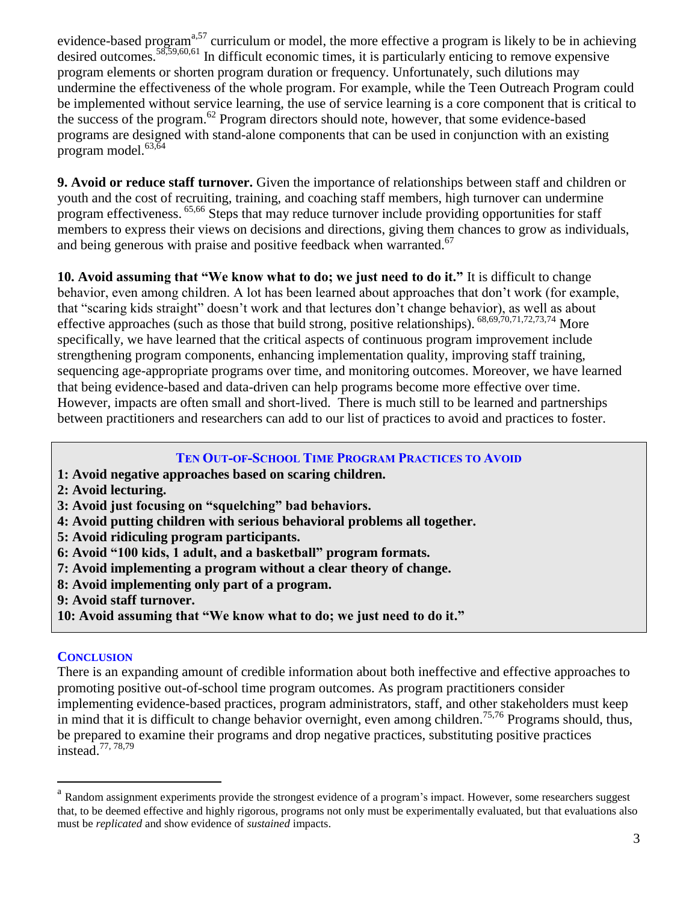evidence-based program<sup>a,57</sup> curriculum or model, the more effective a program is likely to be in achieving desired outcomes.<sup>58,59,60,61</sup> In difficult economic times, it is particularly enticing to remove expensive program elements or shorten program duration or frequency. Unfortunately, such dilutions may undermine the effectiveness of the whole program. For example, while the Teen Outreach Program could be implemented without service learning, the use of service learning is a core component that is critical to the success of the program. <sup>62</sup> Program directors should note, however, that some evidence-based programs are designed with stand-alone components that can be used in conjunction with an existing program model. $63,64$ 

**9. Avoid or reduce staff turnover.** Given the importance of relationships between staff and children or youth and the cost of recruiting, training, and coaching staff members, high turnover can undermine program effectiveness. 65,66 Steps that may reduce turnover include providing opportunities for staff members to express their views on decisions and directions, giving them chances to grow as individuals, and being generous with praise and positive feedback when warranted.<sup>67</sup>

**10. Avoid assuming that "We know what to do; we just need to do it."** It is difficult to change behavior, even among children. A lot has been learned about approaches that don't work (for example, that "scaring kids straight" doesn't work and that lectures don't change behavior), as well as about effective approaches (such as those that build strong, positive relationships).  $68,69,70,71,72,73,74$  More specifically, we have learned that the critical aspects of continuous program improvement include strengthening program components, enhancing implementation quality, improving staff training, sequencing age-appropriate programs over time, and monitoring outcomes. Moreover, we have learned that being evidence-based and data-driven can help programs become more effective over time. However, impacts are often small and short-lived. There is much still to be learned and partnerships between practitioners and researchers can add to our list of practices to avoid and practices to foster.

#### **TEN OUT-OF-SCHOOL TIME PROGRAM PRACTICES TO AVOID**

- **1: Avoid negative approaches based on scaring children.**
- **2: Avoid lecturing.**
- **3: Avoid just focusing on "squelching" bad behaviors.**
- **4: Avoid putting children with serious behavioral problems all together.**
- **5: Avoid ridiculing program participants.**
- **6: Avoid "100 kids, 1 adult, and a basketball" program formats.**
- **7: Avoid implementing a program without a clear theory of change.**
- **8: Avoid implementing only part of a program.**
- **9: Avoid staff turnover.**
- **10: Avoid assuming that "We know what to do; we just need to do it."**

### **CONCLUSION**

 $\overline{a}$ 

There is an expanding amount of credible information about both ineffective and effective approaches to promoting positive out-of-school time program outcomes. As program practitioners consider implementing evidence-based practices, program administrators, staff, and other stakeholders must keep in mind that it is difficult to change behavior overnight, even among children.<sup>75,76</sup> Programs should, thus, be prepared to examine their programs and drop negative practices, substituting positive practices instead.<sup>77, 78,79</sup>

<sup>&</sup>lt;sup>a</sup> Random assignment experiments provide the strongest evidence of a program's impact. However, some researchers suggest that, to be deemed effective and highly rigorous, programs not only must be experimentally evaluated, but that evaluations also must be *replicated* and show evidence of *sustained* impacts.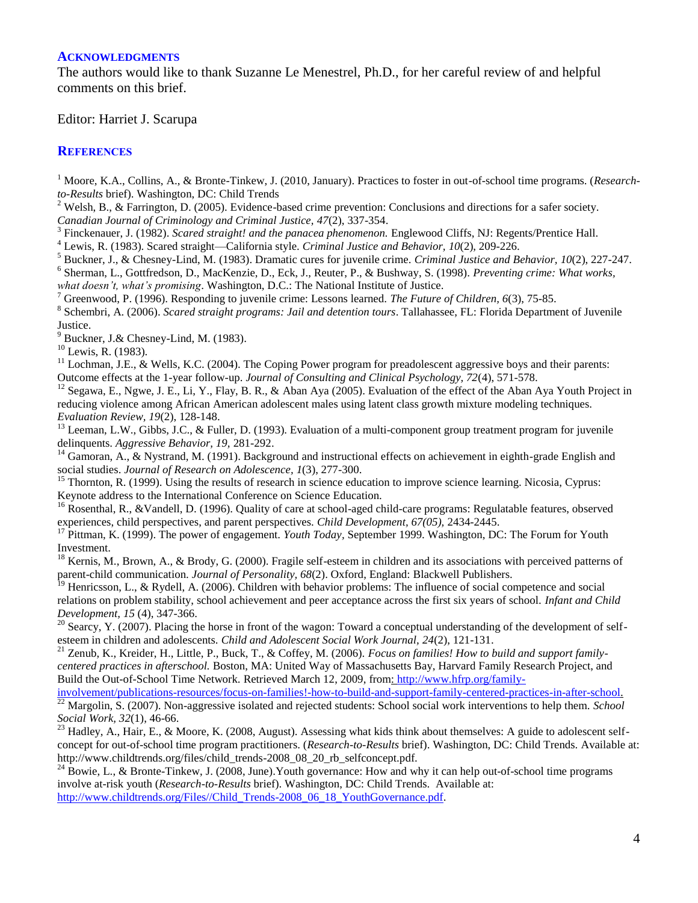#### **ACKNOWLEDGMENTS**

The authors would like to thank Suzanne Le Menestrel, Ph.D., for her careful review of and helpful comments on this brief.

Editor: Harriet J. Scarupa

#### **REFERENCES**

<sup>1</sup> Moore, K.A., Collins, A., & Bronte-Tinkew, J. (2010, January). Practices to foster in out-of-school time programs. (*Researchto-Results* brief). Washington, DC: Child Trends

<sup>2</sup> Welsh, B., & Farrington, D. (2005). Evidence-based crime prevention: Conclusions and directions for a safer society. *Canadian Journal of Criminology and Criminal Justice, 47*(2), 337-354.

<sup>3</sup> Finckenauer, J. (1982). *Scared straight! and the panacea phenomenon*. Englewood Cliffs, NJ: Regents/Prentice Hall.

<sup>4</sup> Lewis, R. (1983). Scared straight—California style. *Criminal Justice and Behavior, 10*(2), 209-226.

<sup>5</sup> Buckner, J., & Chesney-Lind, M. (1983). Dramatic cures for juvenile crime. *Criminal Justice and Behavior, 10*(2), 227-247.

6 Sherman, L., Gottfredson, D., MacKenzie, D., Eck, J., Reuter, P., & Bushway, S. (1998). *Preventing crime: What works, what doesn't, what's promising*. Washington, D.C.: The National Institute of Justice.

<sup>7</sup> Greenwood, P. (1996). Responding to juvenile crime: Lessons learned. *The Future of Children, 6*(3), 75-85.

8 Schembri, A. (2006). *Scared straight programs: Jail and detention tours*. Tallahassee, FL: Florida Department of Juvenile Justice.

Buckner, J.& Chesney-Lind, M. (1983).

 $10$  Lewis, R. (1983).

 $11$  Lochman, J.E., & Wells, K.C. (2004). The Coping Power program for preadolescent aggressive boys and their parents: Outcome effects at the 1-year follow-up. *Journal of Consulting and Clinical Psychology, 72*(4), 571-578.

<sup>12</sup> Segawa, E., Ngwe, J. E., Li, Y., Flay, B. R., & Aban Aya (2005). Evaluation of the effect of the Aban Aya Youth Project in reducing violence among African American adolescent males using latent class growth mixture modeling techniques. *Evaluation Review, 19*(2), 128-148.

<sup>13</sup> Leeman, L.W., Gibbs, J.C., & Fuller, D. (1993). Evaluation of a multi-component group treatment program for juvenile delinquents. *Aggressive Behavior, 19,* 281-292.

<sup>14</sup> Gamoran, A., & Nystrand, M. (1991). Background and instructional effects on achievement in eighth-grade English and social studies. *Journal of Research on Adolescence, 1*(3), 277-300.

<sup>15</sup> Thornton, R. (1999). Using the results of research in science education to improve science learning. Nicosia, Cyprus: Keynote address to the International Conference on Science Education.

<sup>16</sup> Rosenthal, R., &Vandell, D. (1996). Quality of care at school-aged child-care programs: Regulatable features, observed experiences, child perspectives, and parent perspectives. *Child Development, 67(05),* 2434-2445.

<sup>17</sup> Pittman, K. (1999). The power of engagement. *Youth Today,* September 1999. Washington, DC: The Forum for Youth Investment.

 $18$  Kernis, M., Brown, A., & Brody, G. (2000). Fragile self-esteem in children and its associations with perceived patterns of parent-child communication. *Journal of Personality, 68*(2). Oxford, England: Blackwell Publishers.

<sup>19</sup> Henricsson, L., & Rydell, A. (2006). Children with behavior problems: The influence of social competence and social relations on problem stability, school achievement and peer acceptance across the first six years of school. *Infant and Child Development, 15* (4), 347-366.

 $20$  Searcy, Y. (2007). Placing the horse in front of the wagon: Toward a conceptual understanding of the development of selfesteem in children and adolescents. *Child and Adolescent Social Work Journal, 24*(2), 121-131.

<sup>21</sup> Zenub, K., Kreider, H., Little, P., Buck, T., & Coffey, M. (2006). *Focus on families! How to build and support familycentered practices in afterschool.* Boston, MA: United Way of Massachusetts Bay, Harvard Family Research Project, and Build the Out-of-School Time Network. Retrieved March 12, 2009, from: [http://www.hfrp.org/family-](http://www.hfrp.org/family-involvement/publications-resources/focus-on-families!-how-to-build-and-support-family-centered-practices-in-after-school)

[involvement/publications-resources/focus-on-families!-how-to-build-and-support-family-centered-practices-in-after-school.](http://www.hfrp.org/family-involvement/publications-resources/focus-on-families!-how-to-build-and-support-family-centered-practices-in-after-school) <sup>22</sup> Margolin, S. (2007). Non-aggressive isolated and rejected students: School social work interventions to help them. *School Social Work, 32*(1), 46-66.

Hadley, A., Hair, E., & Moore, K. (2008, August). Assessing what kids think about themselves: A guide to adolescent selfconcept for out-of-school time program practitioners. (*Research-to-Results* brief). Washington, DC: Child Trends. Available at: http://www.childtrends.org/files/child\_trends-2008\_08\_20\_rb\_selfconcept.pdf.

<sup>24</sup> Bowie, L., & Bronte-Tinkew, J. (2008, June). Youth governance: How and why it can help out-of-school time programs involve at-risk youth (*Research-to-Results* brief). Washington, DC: Child Trends. Available at: [http://www.childtrends.org/Files//Child\\_Trends-2008\\_06\\_18\\_YouthGovernance.pdf.](http://www.childtrends.org/Files/Child_Trends-2008_06_18_YouthGovernance.pdf)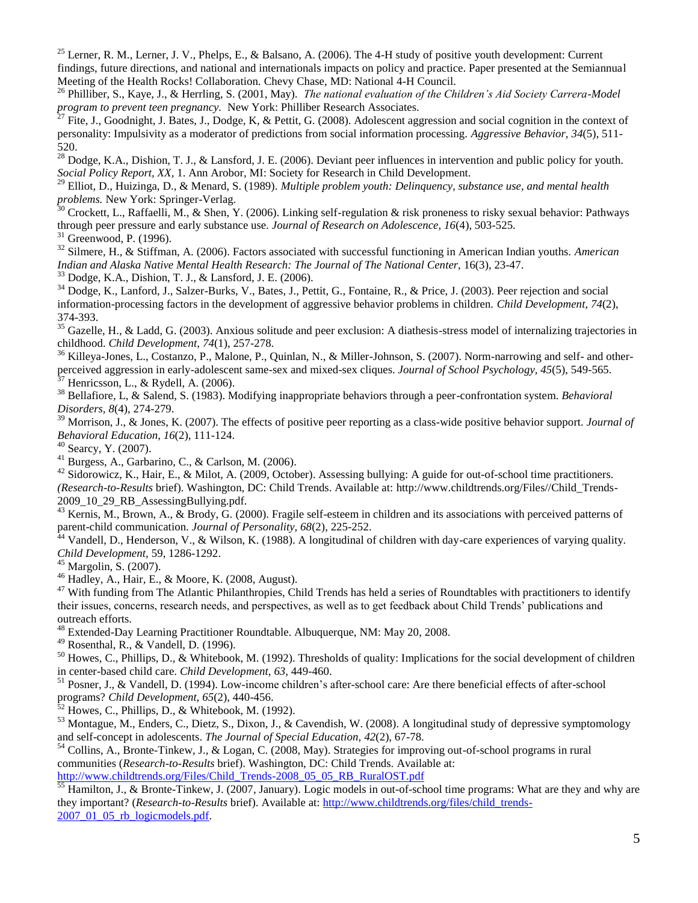<sup>25</sup> Lerner, R. M., Lerner, J. V., Phelps, E., & Balsano, A. (2006). The 4-H study of positive youth development: Current findings, future directions, and national and internationals impacts on policy and practice. Paper presented at the Semiannual Meeting of the Health Rocks! Collaboration. Chevy Chase, MD: National 4-H Council.

<sup>26</sup> Philliber, S., Kaye, J., & Herrling, S. (2001, May). *The national evaluation of the Children's Aid Society Carrera-Model program to prevent teen pregnancy.* New York: Philliber Research Associates.

Fite, J., Goodnight, J. Bates, J., Dodge, K, & Pettit, G. (2008). Adolescent aggression and social cognition in the context of personality: Impulsivity as a moderator of predictions from social information processing. *Aggressive Behavior, 34*(5), 511- 520.

<sup>28</sup> Dodge, K.A., Dishion, T. J., & Lansford, J. E. (2006). Deviant peer influences in intervention and public policy for youth. *Social Policy Report, XX,* 1. Ann Arobor, MI: Society for Research in Child Development.

<sup>29</sup> Elliot, D., Huizinga, D., & Menard, S. (1989). *Multiple problem youth: Delinquency, substance use, and mental health problems.* New York: Springer-Verlag.

 $30$  Crockett, L., Raffaelli, M., & Shen, Y. (2006). Linking self-regulation & risk proneness to risky sexual behavior: Pathways through peer pressure and early substance use. *Journal of Research on Adolescence, 16*(4), 503-525.

 $31$  Greenwood, P. (1996).

<sup>32</sup> Silmere, H., & Stiffman, A. (2006). Factors associated with successful functioning in American Indian youths. *American Indian and Alaska Native Mental Health Research: The Journal of The National Center,* 16(3), 23-47.

<sup>33</sup> Dodge, K.A., Dishion, T. J., & Lansford, J. E. (2006).

<sup>34</sup> Dodge, K., Lanford, J., Salzer-Burks, V., Bates, J., Pettit, G., Fontaine, R., & Price, J. (2003). Peer rejection and social information-processing factors in the development of aggressive behavior problems in children. *Child Development, 74*(2), 374-393.

 $35$  Gazelle, H., & Ladd, G. (2003). Anxious solitude and peer exclusion: A diathesis-stress model of internalizing trajectories in childhood. *Child Development, 74*(1), 257-278.

<sup>36</sup> Killeya-Jones, L., Costanzo, P., Malone, P., Quinlan, N., & Miller-Johnson, S. (2007). Norm-narrowing and self- and otherperceived aggression in early-adolescent same-sex and mixed-sex cliques. *Journal of School Psychology, 45*(5), 549-565.<br><sup>37</sup> Honricsson J. S. Part J. A. (2000).

Henricsson, L., & Rydell, A. (2006).

<sup>38</sup> Bellafiore, L, & Salend, S. (1983). Modifying inappropriate behaviors through a peer-confrontation system. *Behavioral Disorders, 8*(4), 274-279.

<sup>39</sup> Morrison, J., & Jones, K. (2007). The effects of positive peer reporting as a class-wide positive behavior support. *Journal of Behavioral Education, 16*(2), 111-124.

<sup>40</sup> Searcy, Y. (2007).

<sup>41</sup> Burgess, A., Garbarino, C., & Carlson, M. (2006).

<sup>42</sup> Sidorowicz, K., Hair, E., & Milot, A. (2009, October). Assessing bullying: A guide for out-of-school time practitioners. *(Research-to-Results* brief). Washington, DC: Child Trends. Available at: http://www.childtrends.org/Files//Child\_Trends-2009\_10\_29\_RB\_AssessingBullying.pdf.

 $^{43}$  Kernis, M., Brown, A., & Brody, G. (2000). Fragile self-esteem in children and its associations with perceived patterns of parent-child communication. *Journal of Personality, 68*(2), 225-252.<br><sup>44</sup> Vandall D. H. Warehouse Communication.

Vandell, D., Henderson, V., & Wilson, K. (1988). A longitudinal of children with day-care experiences of varying quality. *Child Development,* 59, 1286-1292.

 $45$  Margolin, S. (2007).

<sup>46</sup> Hadley, A., Hair, E., & Moore, K. (2008, August).

 $47$  With funding from The Atlantic Philanthropies, Child Trends has held a series of Roundtables with practitioners to identify their issues, concerns, research needs, and perspectives, as well as to get feedback about Child Trends' publications and outreach efforts.

<sup>48</sup> Extended-Day Learning Practitioner Roundtable. Albuquerque, NM: May 20, 2008.

 $49$  Rosenthal, R., & Vandell, D. (1996).

<sup>50</sup> Howes, C., Phillips, D., & Whitebook, M. (1992). Thresholds of quality: Implications for the social development of children in center-based child care. *Child Development, 63*, 449-460.

<sup>51</sup> Posner, J., & Vandell, D. (1994). Low-income children's after-school care: Are there beneficial effects of after-school programs? *Child Development, 65*(2), 440-456.

 $\frac{52}{2}$  Howes, C., Phillips, D., & Whitebook, M. (1992).

<sup>53</sup> Montague, M., Enders, C., Dietz, S., Dixon, J., & Cavendish, W. (2008). A longitudinal study of depressive symptomology and self-concept in adolescents. *The Journal of Special Education, 42*(2), 67-78.

<sup>54</sup> Collins, A., Bronte-Tinkew, J., & Logan, C. (2008, May). Strategies for improving out-of-school programs in rural communities (*Research-to-Results* brief). Washington, DC: Child Trends. Available at: [http://www.childtrends.org/Files/Child\\_Trends-2008\\_05\\_05\\_RB\\_RuralOST.pdf](http://www.childtrends.org/Files/Child_Trends-2008_05_05_RB_RuralOST.pdf)

 $\frac{55}{25}$  Hamilton, J., & Bronte-Tinkew, J. (2007, January). Logic models in out-of-school time programs: What are they and why are they important? (*Research-to-Results* brief). Available at: [http://www.childtrends.org/files/child\\_trends-](http://www.childtrends.org/files/child_trends-2007_01_05_rb_logicmodels.pdf) $2007$   $01$   $05$  rb logicmodels.pdf.